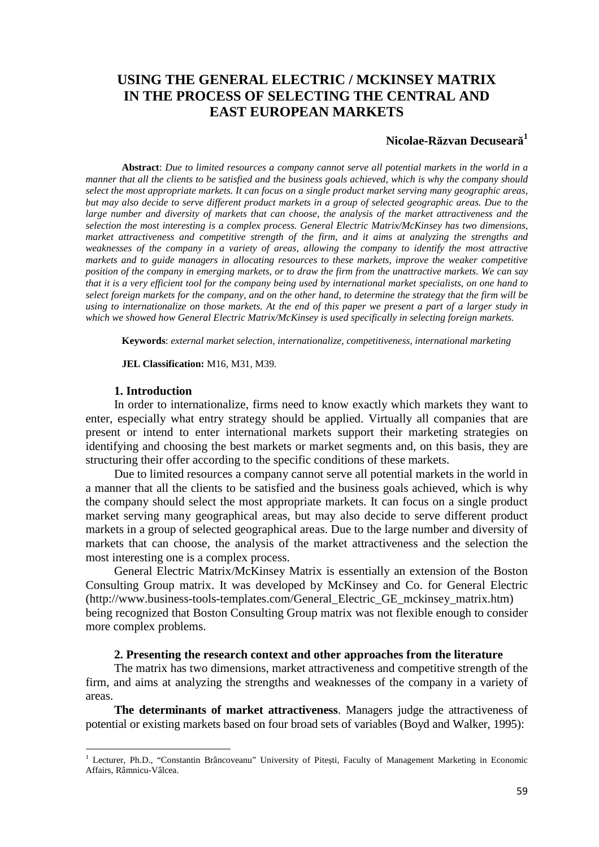# **USING THE GENERAL ELECTRIC / MCKINSEY MATRIX IN THE PROCESS OF SELECTING THE CENTRAL AND EAST EUROPEAN MARKETS**

# **Nicolae-Răzvan Decuseară 1**

**Abstract**: *Due to limited resources a company cannot serve all potential markets in the world in a manner that all the clients to be satisfied and the business goals achieved, which is why the company should select the most appropriate markets. It can focus on a single product market serving many geographic areas, but may also decide to serve different product markets in a group of selected geographic areas. Due to the large number and diversity of markets that can choose, the analysis of the market attractiveness and the selection the most interesting is a complex process. General Electric Matrix/McKinsey has two dimensions, market attractiveness and competitive strength of the firm, and it aims at analyzing the strengths and weaknesses of the company in a variety of areas, allowing the company to identify the most attractive markets and to guide managers in allocating resources to these markets, improve the weaker competitive position of the company in emerging markets, or to draw the firm from the unattractive markets. We can say that it is a very efficient tool for the company being used by international market specialists, on one hand to select foreign markets for the company, and on the other hand, to determine the strategy that the firm will be using to internationalize on those markets. At the end of this paper we present a part of a larger study in which we showed how General Electric Matrix/McKinsey is used specifically in selecting foreign markets.*

**Keywords**: *external market selection, internationalize, competitiveness, international marketing*

**JEL Classification:** M16, M31, M39.

### **1. Introduction**

In order to internationalize, firms need to know exactly which markets they want to enter, especially what entry strategy should be applied. Virtually all companies that are present or intend to enter international markets support their marketing strategies on identifying and choosing the best markets or market segments and, on this basis, they are structuring their offer according to the specific conditions of these markets.

Due to limited resources a company cannot serve all potential markets in the world in a manner that all the clients to be satisfied and the business goals achieved, which is why the company should select the most appropriate markets. It can focus on a single product market serving many geographical areas, but may also decide to serve different product markets in a group of selected geographical areas. Due to the large number and diversity of markets that can choose, the analysis of the market attractiveness and the selection the most interesting one is a complex process.

General Electric Matrix/McKinsey Matrix is essentially an extension of the Boston Consulting Group matrix. It was developed by McKinsey and Co. for General Electric (http://www.business-tools-templates.com/General\_Electric\_GE\_mckinsey\_matrix.htm) being recognized that Boston Consulting Group matrix was not flexible enough to consider more complex problems.

#### **2. Presenting the research context and other approaches from the literature**

The matrix has two dimensions, market attractiveness and competitive strength of the firm, and aims at analyzing the strengths and weaknesses of the company in a variety of areas.

**The determinants of market attractiveness**. Managers judge the attractiveness of potential or existing markets based on four broad sets of variables (Boyd and Walker, 1995):

<sup>&</sup>lt;sup>1</sup> Lecturer, Ph.D., "Constantin Brâncoveanu" University of Pitești, Faculty of Management Marketing in Economic Affairs, Râmnicu-Vâlcea.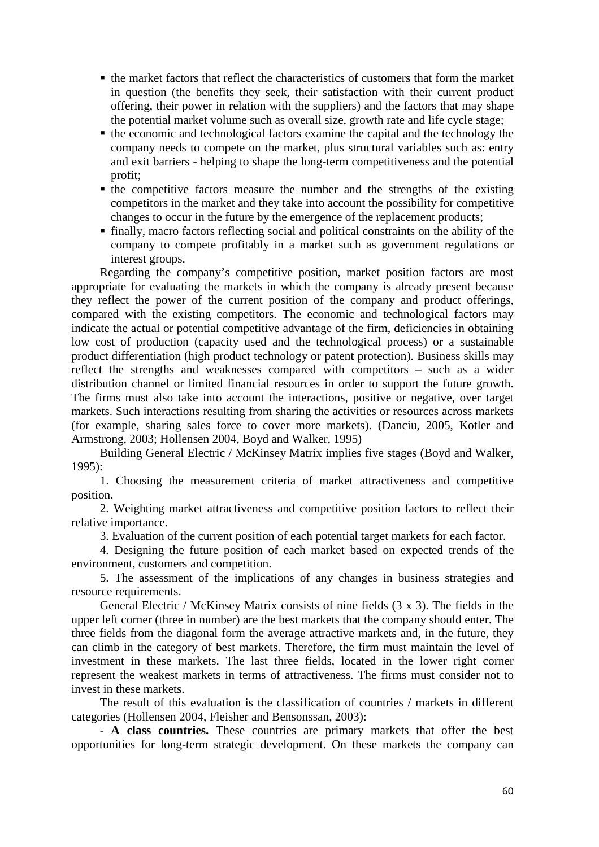- $\blacksquare$  the market factors that reflect the characteristics of customers that form the market in question (the benefits they seek, their satisfaction with their current product offering, their power in relation with the suppliers) and the factors that may shape the potential market volume such as overall size, growth rate and life cycle stage;
- $\blacksquare$  the economic and technological factors examine the capital and the technology the company needs to compete on the market, plus structural variables such as: entry and exit barriers - helping to shape the long-term competitiveness and the potential profit;
- $\blacksquare$  the competitive factors measure the number and the strengths of the existing competitors in the market and they take into account the possibility for competitive changes to occur in the future by the emergence of the replacement products;
- finally, macro factors reflecting social and political constraints on the ability of the company to compete profitably in a market such as government regulations or interest groups.

Regarding the company's competitive position, market position factors are most appropriate for evaluating the markets in which the company is already present because they reflect the power of the current position of the company and product offerings, compared with the existing competitors. The economic and technological factors may indicate the actual or potential competitive advantage of the firm, deficiencies in obtaining low cost of production (capacity used and the technological process) or a sustainable product differentiation (high product technology or patent protection). Business skills may reflect the strengths and weaknesses compared with competitors – such as a wider distribution channel or limited financial resources in order to support the future growth. The firms must also take into account the interactions, positive or negative, over target markets. Such interactions resulting from sharing the activities or resources across markets (for example, sharing sales force to cover more markets). (Danciu, 2005, Kotler and Armstrong, 2003; Hollensen 2004, Boyd and Walker, 1995)

Building General Electric / McKinsey Matrix implies five stages (Boyd and Walker, 1995):

1. Choosing the measurement criteria of market attractiveness and competitive position.

2. Weighting market attractiveness and competitive position factors to reflect their relative importance.

3. Evaluation of the current position of each potential target markets for each factor.

4. Designing the future position of each market based on expected trends of the environment, customers and competition.

5. The assessment of the implications of any changes in business strategies and resource requirements.

General Electric / McKinsey Matrix consists of nine fields (3 x 3). The fields in the upper left corner (three in number) are the best markets that the company should enter. The three fields from the diagonal form the average attractive markets and, in the future, they can climb in the category of best markets. Therefore, the firm must maintain the level of investment in these markets. The last three fields, located in the lower right corner represent the weakest markets in terms of attractiveness. The firms must consider not to invest in these markets.

The result of this evaluation is the classification of countries / markets in different categories (Hollensen 2004, Fleisher and Bensonssan, 2003):

- **A class countries.** These countries are primary markets that offer the best opportunities for long-term strategic development. On these markets the company can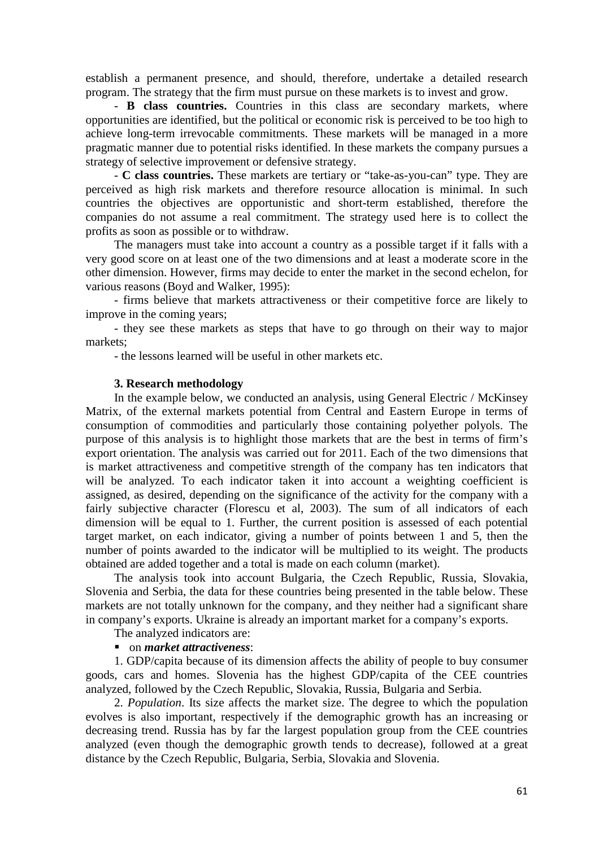establish a permanent presence, and should, therefore, undertake a detailed research program. The strategy that the firm must pursue on these markets is to invest and grow.

- **B class countries.** Countries in this class are secondary markets, where opportunities are identified, but the political or economic risk is perceived to be too high to achieve long-term irrevocable commitments. These markets will be managed in a more pragmatic manner due to potential risks identified. In these markets the company pursues a strategy of selective improvement or defensive strategy.

- **C class countries.** These markets are tertiary or "take-as-you-can" type. They are perceived as high risk markets and therefore resource allocation is minimal. In such countries the objectives are opportunistic and short-term established, therefore the companies do not assume a real commitment. The strategy used here is to collect the profits as soon as possible or to withdraw.

The managers must take into account a country as a possible target if it falls with a very good score on at least one of the two dimensions and at least a moderate score in the other dimension. However, firms may decide to enter the market in the second echelon, for various reasons (Boyd and Walker, 1995):

- firms believe that markets attractiveness or their competitive force are likely to improve in the coming years;

- they see these markets as steps that have to go through on their way to major markets;

- the lessons learned will be useful in other markets etc.

#### **3. Research methodology**

In the example below, we conducted an analysis, using General Electric / McKinsey Matrix, of the external markets potential from Central and Eastern Europe in terms of consumption of commodities and particularly those containing polyether polyols. The purpose of this analysis is to highlight those markets that are the best in terms of firm's export orientation. The analysis was carried out for 2011. Each of the two dimensions that is market attractiveness and competitive strength of the company has ten indicators that will be analyzed. To each indicator taken it into account a weighting coefficient is assigned, as desired, depending on the significance of the activity for the company with a fairly subjective character (Florescu et al, 2003). The sum of all indicators of each dimension will be equal to 1. Further, the current position is assessed of each potential target market, on each indicator, giving a number of points between 1 and 5, then the number of points awarded to the indicator will be multiplied to its weight. The products obtained are added together and a total is made on each column (market).

The analysis took into account Bulgaria, the Czech Republic, Russia, Slovakia, Slovenia and Serbia, the data for these countries being presented in the table below. These markets are not totally unknown for the company, and they neither had a significant share in company's exports. Ukraine is already an important market for a company's exports.

### The analyzed indicators are:

### on *market attractiveness*:

1. GDP/capita because of its dimension affects the ability of people to buy consumer goods, cars and homes. Slovenia has the highest GDP/capita of the CEE countries analyzed, followed by the Czech Republic, Slovakia, Russia, Bulgaria and Serbia.

2. *Population*. Its size affects the market size. The degree to which the population evolves is also important, respectively if the demographic growth has an increasing or decreasing trend. Russia has by far the largest population group from the CEE countries analyzed (even though the demographic growth tends to decrease), followed at a great distance by the Czech Republic, Bulgaria, Serbia, Slovakia and Slovenia.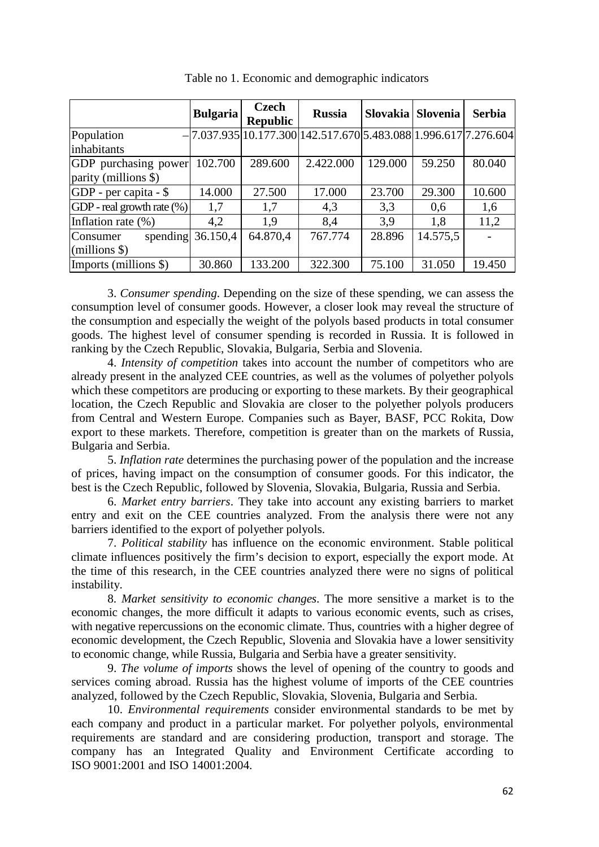|                               | <b>Bulgaria</b> | <b>Czech</b><br><b>Republic</b> | <b>Russia</b>                                                       |         | Slovakia Slovenia | <b>Serbia</b> |
|-------------------------------|-----------------|---------------------------------|---------------------------------------------------------------------|---------|-------------------|---------------|
| Population                    |                 |                                 | $- 7.037.935 10.177.300 142.517.670 5.483.088 1.996.617 7.276.604 $ |         |                   |               |
| inhabitants                   |                 |                                 |                                                                     |         |                   |               |
| GDP purchasing power          | 102.700         | 289.600                         | 2.422.000                                                           | 129.000 | 59.250            | 80.040        |
| parity (millions \$)          |                 |                                 |                                                                     |         |                   |               |
| $GDP$ - per capita - \$       | 14.000          | 27.500                          | 17.000                                                              | 23.700  | 29.300            | 10.600        |
| GDP - real growth rate $(\%)$ | 1,7             | 1,7                             | 4,3                                                                 | 3,3     | 0,6               | 1,6           |
| Inflation rate (%)            | 4,2             | 1.9                             | 8,4                                                                 | 3.9     | 1,8               | 11,2          |
| spending<br>Consumer          | 36.150,4        | 64.870,4                        | 767.774                                                             | 28.896  | 14.575,5          |               |
| $(millions$ \$)               |                 |                                 |                                                                     |         |                   |               |
| Imports (millions \$)         | 30.860          | 133.200                         | 322.300                                                             | 75.100  | 31.050            | 19.450        |

Table no 1. Economic and demographic indicators

3. *Consumer spending*. Depending on the size of these spending, we can assess the consumption level of consumer goods. However, a closer look may reveal the structure of the consumption and especially the weight of the polyols based products in total consumer goods. The highest level of consumer spending is recorded in Russia. It is followed in ranking by the Czech Republic, Slovakia, Bulgaria, Serbia and Slovenia.

4. *Intensity of competition* takes into account the number of competitors who are already present in the analyzed CEE countries, as well as the volumes of polyether polyols which these competitors are producing or exporting to these markets. By their geographical location, the Czech Republic and Slovakia are closer to the polyether polyols producers from Central and Western Europe. Companies such as Bayer, BASF, PCC Rokita, Dow export to these markets. Therefore, competition is greater than on the markets of Russia, Bulgaria and Serbia.

5. *Inflation rate* determines the purchasing power of the population and the increase of prices, having impact on the consumption of consumer goods. For this indicator, the best is the Czech Republic, followed by Slovenia, Slovakia, Bulgaria, Russia and Serbia.

6. *Market entry barriers*. They take into account any existing barriers to market entry and exit on the CEE countries analyzed. From the analysis there were not any barriers identified to the export of polyether polyols.

7. *Political stability* has influence on the economic environment. Stable political climate influences positively the firm's decision to export, especially the export mode. At the time of this research, in the CEE countries analyzed there were no signs of political instability.

8. *Market sensitivity to economic changes*. The more sensitive a market is to the economic changes, the more difficult it adapts to various economic events, such as crises, with negative repercussions on the economic climate. Thus, countries with a higher degree of economic development, the Czech Republic, Slovenia and Slovakia have a lower sensitivity to economic change, while Russia, Bulgaria and Serbia have a greater sensitivity.

9. *The volume of imports* shows the level of opening of the country to goods and services coming abroad. Russia has the highest volume of imports of the CEE countries analyzed, followed by the Czech Republic, Slovakia, Slovenia, Bulgaria and Serbia.

10. *Environmental requirements* consider environmental standards to be met by each company and product in a particular market. For polyether polyols, environmental requirements are standard and are considering production, transport and storage. The company has an Integrated Quality and Environment Certificate according to ISO 9001:2001 and ISO 14001:2004.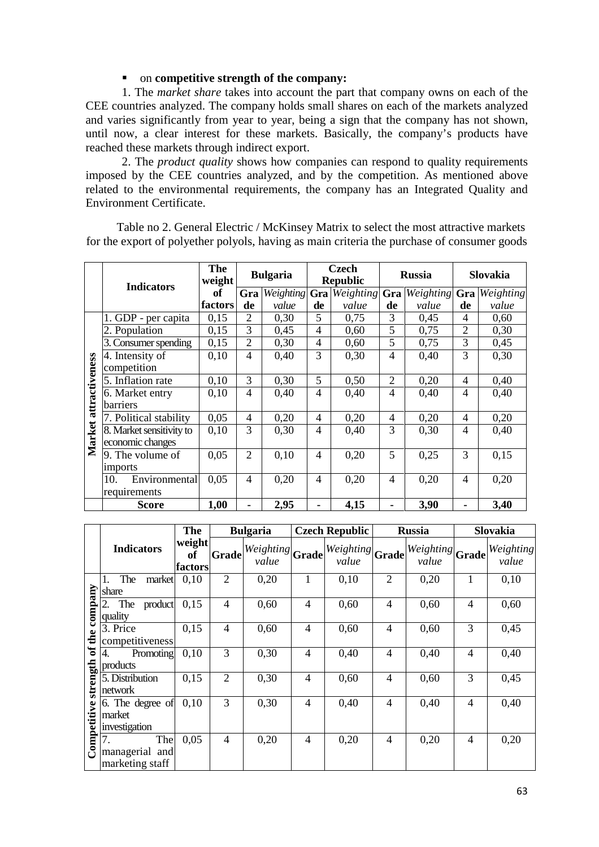# on **competitive strength of the company:**

1. The *market share* takes into account the part that company owns on each of the CEE countries analyzed. The company holds small shares on each of the markets analyzed and varies significantly from year to year, being a sign that the company has not shown, until now, a clear interest for these markets. Basically, the company's products have reached these markets through indirect export.

2. The *product quality* shows how companies can respond to quality requirements imposed by the CEE countries analyzed, and by the competition. As mentioned above related to the environmental requirements, the company has an Integrated Quality and Environment Certificate.

Table no 2. General Electric / McKinsey Matrix to select the most attractive markets for the export of polyether polyols, having as main criteria the purchase of consumer goods

|                       | <b>Indicators</b>        | <b>The</b><br>weight | <b>Bulgaria</b> |                  | <b>Czech</b><br><b>Republic</b> |           | <b>Russia</b>  |           | Slovakia       |           |
|-----------------------|--------------------------|----------------------|-----------------|------------------|---------------------------------|-----------|----------------|-----------|----------------|-----------|
|                       |                          | of                   | Gra             | <b>Weighting</b> | Gra                             | Weighting | Gra            | Weighting | Gra            | Weighting |
|                       |                          | factors              | de              | value            | de                              | value     | de             | value     | de             | value     |
|                       | 1. GDP - per capita      | 0,15                 | $\overline{2}$  | 0,30             | 5                               | 0,75      | 3              | 0,45      | 4              | 0,60      |
|                       | 2. Population            | 0,15                 | 3               | 0,45             | 4                               | 0,60      | 5              | 0,75      | $\overline{2}$ | 0,30      |
|                       | 3. Consumer spending     | 0,15                 | $\overline{2}$  | 0,30             | 4                               | 0,60      | 5              | 0,75      | 3              | 0,45      |
|                       | 4. Intensity of          | 0,10                 | 4               | 0,40             | 3                               | 0,30      | $\overline{4}$ | 0,40      | 3              | 0,30      |
|                       | competition              |                      |                 |                  |                                 |           |                |           |                |           |
|                       | 5. Inflation rate        | 0,10                 | 3               | 0,30             | 5                               | 0,50      | $\overline{2}$ | 0,20      | 4              | 0,40      |
| Market attractiveness | 6. Market entry          | 0,10                 | 4               | 0,40             | 4                               | 0,40      | 4              | 0,40      | 4              | 0,40      |
|                       | barriers                 |                      |                 |                  |                                 |           |                |           |                |           |
|                       | 7. Political stability   | 0,05                 | 4               | 0,20             | $\overline{4}$                  | 0,20      | 4              | 0,20      | 4              | 0,20      |
|                       | 8. Market sensitivity to | 0,10                 | 3               | 0,30             | 4                               | 0,40      | 3              | 0,30      | 4              | 0,40      |
|                       | economic changes         |                      |                 |                  |                                 |           |                |           |                |           |
|                       | 9. The volume of         | 0,05                 | $\overline{2}$  | 0,10             | $\overline{4}$                  | 0,20      | 5              | 0,25      | 3              | 0,15      |
|                       | imports                  |                      |                 |                  |                                 |           |                |           |                |           |
|                       | Environmental<br>10.     | 0,05                 | $\overline{4}$  | 0,20             | 4                               | 0,20      | $\overline{4}$ | 0,20      | 4              | 0,20      |
|                       | requirements             |                      |                 |                  |                                 |           |                |           |                |           |
|                       | <b>Score</b>             | 1,00                 | ۰               | 2,95             |                                 | 4,15      |                | 3,90      |                | 3,40      |

|             |                                                | The                     |                | <b>Bulgaria</b>                        | <b>Czech Republic</b> |                              |                | <b>Russia</b>                | Slovakia |                    |
|-------------|------------------------------------------------|-------------------------|----------------|----------------------------------------|-----------------------|------------------------------|----------------|------------------------------|----------|--------------------|
|             | <b>Indicators</b>                              | weight<br>оf<br>factors | <b>Grade</b>   | $ Weighting  \textbf{Grade} $<br>value |                       | $ Weighting $ Grade<br>value |                | $ Weighting $ Grade<br>value |          | Weighting<br>value |
|             | market<br>The<br>share                         | 0,10                    | $\overline{2}$ | 0,20                                   |                       | 0,10                         | $\overline{2}$ | 0,20                         | 1        | 0,10               |
| company     | 2.<br>product<br>The<br>quality                | 0,15                    | $\overline{4}$ | 0,60                                   | 4                     | 0,60                         | 4              | 0,60                         | 4        | 0,60               |
| the         | 3. Price<br>competitiveness                    | 0,15                    | $\overline{4}$ | 0,60                                   | 4                     | 0,60                         | 4              | 0,60                         | 3        | 0,45               |
| ಕ           | Promoting<br>4.<br>products                    | 0,10                    | 3              | 0,30                                   | 4                     | 0,40                         | $\overline{4}$ | 0,40                         | 4        | 0,40               |
| strength    | 5. Distribution<br>network                     | 0,15                    | $\overline{2}$ | 0,30                                   | 4                     | 0,60                         | 4              | 0,60                         | 3        | 0,45               |
| Competitive | 6. The degree of<br>market<br>investigation    | 0,10                    | 3              | 0,30                                   | 4                     | 0,40                         | $\overline{4}$ | 0,40                         | 4        | 0,40               |
|             | 7.<br>The<br>managerial and<br>marketing staff | 0,05                    | $\overline{4}$ | 0,20                                   | 4                     | 0,20                         | $\overline{4}$ | 0,20                         | 4        | 0,20               |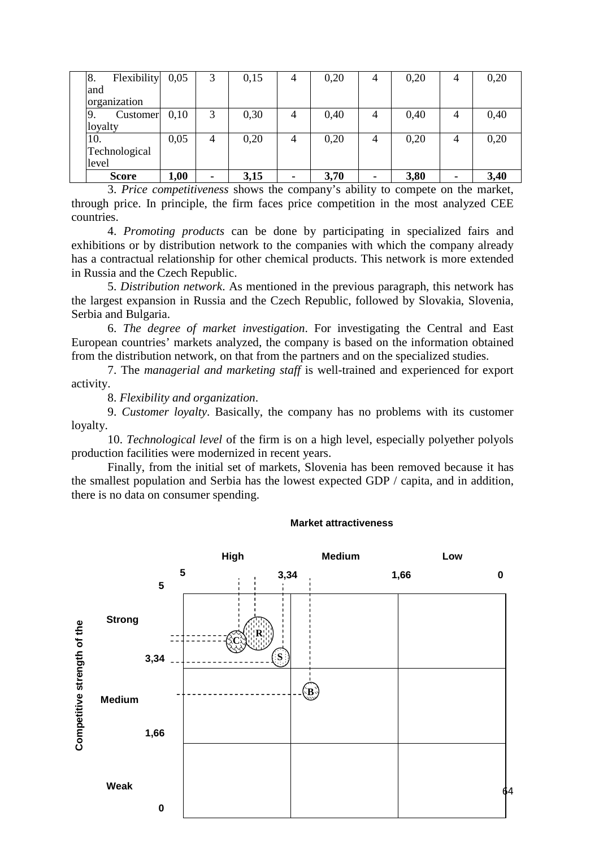| <b>Score</b>      | 1,00 |   | 3,15 |   | 3,70 | 3,80 |   | 3,40 |
|-------------------|------|---|------|---|------|------|---|------|
| level             |      |   |      |   |      |      |   |      |
| Technological     |      |   |      |   |      |      |   |      |
| 10.               | 0,05 | 4 | 0,20 | 4 | 0,20 | 0,20 | 4 | 0,20 |
| loyalty           |      |   |      |   |      |      |   |      |
| Customer<br>9.    | 0,10 | 3 | 0,30 | 4 | 0,40 | 0,40 | 4 | 0,40 |
| organization      |      |   |      |   |      |      |   |      |
| and               |      |   |      |   |      |      |   |      |
| Flexibility<br>8. | 0,05 | 3 | 0,15 | 4 | 0,20 | 0,20 | 4 | 0,20 |

3. *Price competitiveness* shows the company's ability to compete on the market, through price. In principle, the firm faces price competition in the most analyzed CEE countries.

4. *Promoting products* can be done by participating in specialized fairs and exhibitions or by distribution network to the companies with which the company already has a contractual relationship for other chemical products. This network is more extended in Russia and the Czech Republic.

5. *Distribution network*. As mentioned in the previous paragraph, this network has the largest expansion in Russia and the Czech Republic, followed by Slovakia, Slovenia, Serbia and Bulgaria.

6. *The degree of market investigation*. For investigating the Central and East European countries' markets analyzed, the company is based on the information obtained from the distribution network, on that from the partners and on the specialized studies.

7. The *managerial and marketing staff* is well-trained and experienced for export activity.

8. *Flexibility and organization*.

9. *Customer loyalty*. Basically, the company has no problems with its customer loyalty.

10. *Technological level* of the firm is on a high level, especially polyether polyols production facilities were modernized in recent years.

Finally, from the initial set of markets, Slovenia has been removed because it has the smallest population and Serbia has the lowest expected GDP / capita, and in addition, there is no data on consumer spending.

#### **Market attractiveness**

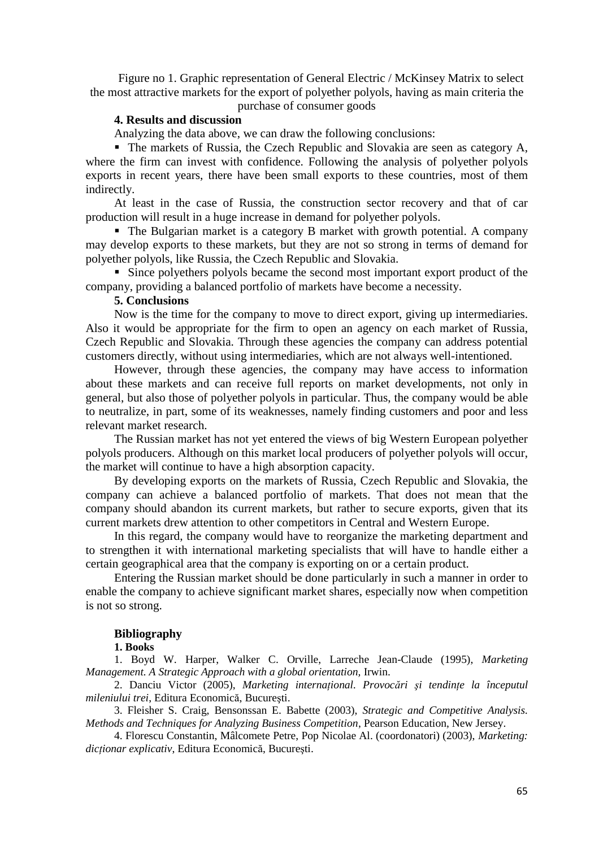Figure no 1. Graphic representation of General Electric / McKinsey Matrix to select the most attractive markets for the export of polyether polyols, having as main criteria the

purchase of consumer goods

# **4. Results and discussion**

Analyzing the data above, we can draw the following conclusions:

 The markets of Russia, the Czech Republic and Slovakia are seen as category A, where the firm can invest with confidence. Following the analysis of polyether polyols exports in recent years, there have been small exports to these countries, most of them indirectly.

At least in the case of Russia, the construction sector recovery and that of car production will result in a huge increase in demand for polyether polyols.

 The Bulgarian market is a category B market with growth potential. A company may develop exports to these markets, but they are not so strong in terms of demand for polyether polyols, like Russia, the Czech Republic and Slovakia.

 Since polyethers polyols became the second most important export product of the company, providing a balanced portfolio of markets have become a necessity.

### **5. Conclusions**

Now is the time for the company to move to direct export, giving up intermediaries. Also it would be appropriate for the firm to open an agency on each market of Russia, Czech Republic and Slovakia. Through these agencies the company can address potential customers directly, without using intermediaries, which are not always well-intentioned.

However, through these agencies, the company may have access to information about these markets and can receive full reports on market developments, not only in general, but also those of polyether polyols in particular. Thus, the company would be able to neutralize, in part, some of its weaknesses, namely finding customers and poor and less relevant market research.

The Russian market has not yet entered the views of big Western European polyether polyols producers. Although on this market local producers of polyether polyols will occur, the market will continue to have a high absorption capacity.

By developing exports on the markets of Russia, Czech Republic and Slovakia, the company can achieve a balanced portfolio of markets. That does not mean that the company should abandon its current markets, but rather to secure exports, given that its current markets drew attention to other competitors in Central and Western Europe.

In this regard, the company would have to reorganize the marketing department and to strengthen it with international marketing specialists that will have to handle either a certain geographical area that the company is exporting on or a certain product.

Entering the Russian market should be done particularly in such a manner in order to enable the company to achieve significant market shares, especially now when competition is not so strong.

#### **Bibliography**

**1. Books**

1. Boyd W. Harper, Walker C. Orville, Larreche Jean-Claude (1995), *Marketing Management. A Strategic Approach with a global orientation,* Irwin.

2. Danciu Victor (2005), *Marketing internaţional. Provocări şi tendinţe la începutul mileniului trei*, Editura Economică, Bucureşti.

3. Fleisher S. Craig, Bensonssan E. Babette (2003), *Strategic and Competitive Analysis. Methods and Techniques for Analyzing Business Competition*, Pearson Education, New Jersey.

4. Florescu Constantin, Mâlcomete Petre, Pop Nicolae Al. (coordonatori) (2003), *Marketing: dicţionar explicativ*, Editura Economică, Bucureşti.